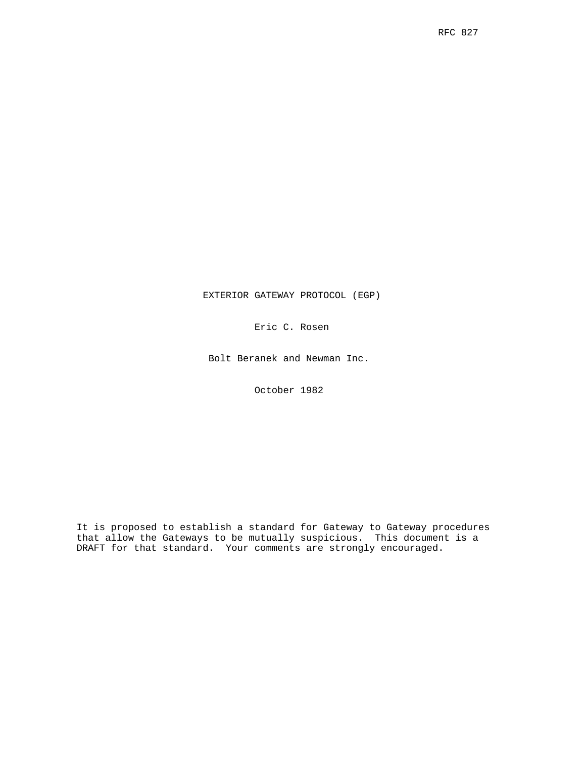EXTERIOR GATEWAY PROTOCOL (EGP)

Eric C. Rosen

Bolt Beranek and Newman Inc.

October 1982

It is proposed to establish a standard for Gateway to Gateway procedures that allow the Gateways to be mutually suspicious. This document is a DRAFT for that standard. Your comments are strongly encouraged.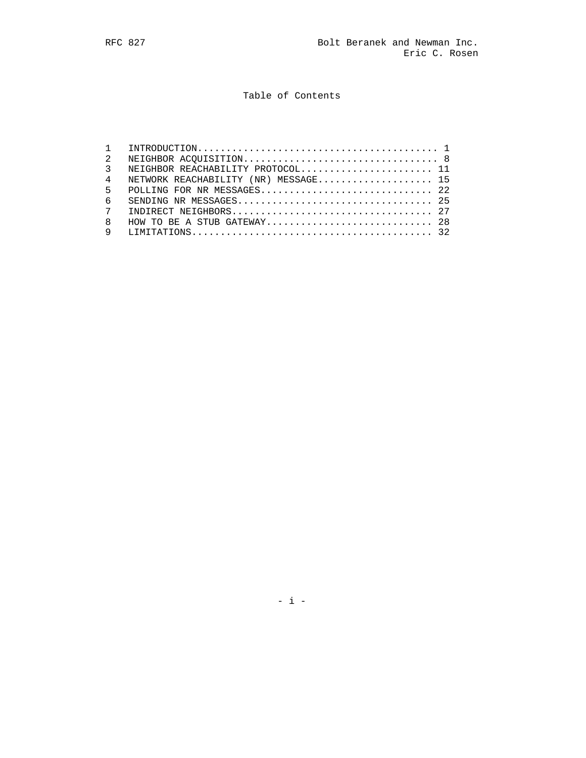# Table of Contents

|                | NEIGHBOR REACHABILITY PROTOCOL 11    |
|----------------|--------------------------------------|
| $\overline{4}$ | NETWORK REACHABILITY (NR) MESSAGE 15 |
|                |                                      |
| б.             |                                      |
|                |                                      |
| 8              |                                      |
|                |                                      |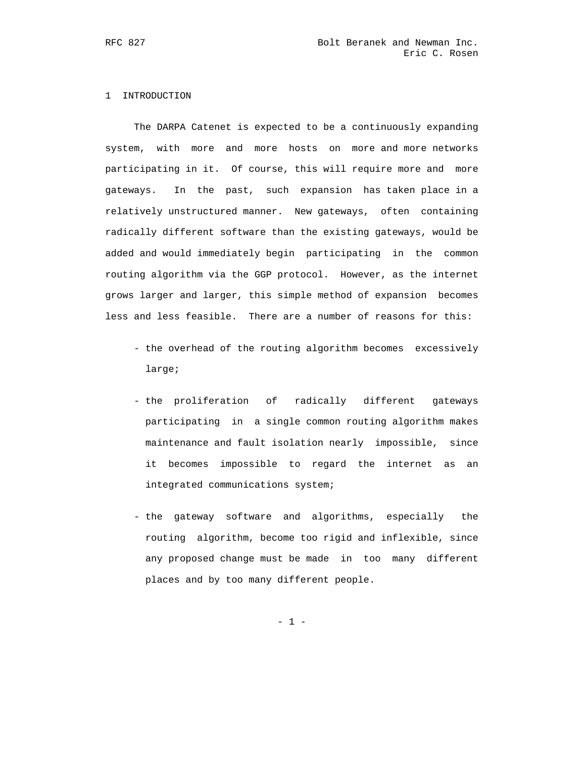# 1 INTRODUCTION

 The DARPA Catenet is expected to be a continuously expanding system, with more and more hosts on more and more networks participating in it. Of course, this will require more and more gateways. In the past, such expansion has taken place in a relatively unstructured manner. New gateways, often containing radically different software than the existing gateways, would be added and would immediately begin participating in the common routing algorithm via the GGP protocol. However, as the internet grows larger and larger, this simple method of expansion becomes less and less feasible. There are a number of reasons for this:

- the overhead of the routing algorithm becomes excessively large;
- the proliferation of radically different gateways participating in a single common routing algorithm makes maintenance and fault isolation nearly impossible, since it becomes impossible to regard the internet as an integrated communications system;
- the gateway software and algorithms, especially the routing algorithm, become too rigid and inflexible, since any proposed change must be made in too many different places and by too many different people.

- 1 -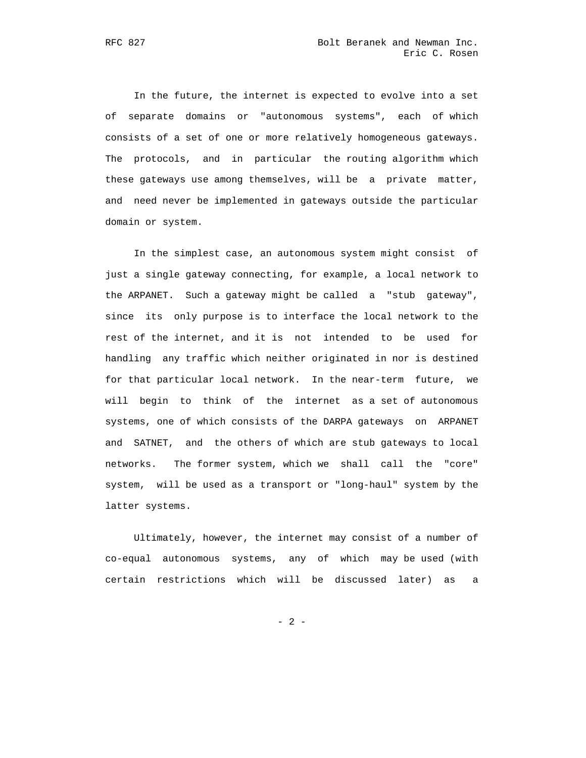In the future, the internet is expected to evolve into a set of separate domains or "autonomous systems", each of which consists of a set of one or more relatively homogeneous gateways. The protocols, and in particular the routing algorithm which these gateways use among themselves, will be a private matter, and need never be implemented in gateways outside the particular domain or system.

 In the simplest case, an autonomous system might consist of just a single gateway connecting, for example, a local network to the ARPANET. Such a gateway might be called a "stub gateway", since its only purpose is to interface the local network to the rest of the internet, and it is not intended to be used for handling any traffic which neither originated in nor is destined for that particular local network. In the near-term future, we will begin to think of the internet as a set of autonomous systems, one of which consists of the DARPA gateways on ARPANET and SATNET, and the others of which are stub gateways to local networks. The former system, which we shall call the "core" system, will be used as a transport or "long-haul" system by the latter systems.

 Ultimately, however, the internet may consist of a number of co-equal autonomous systems, any of which may be used (with certain restrictions which will be discussed later) as a

- 2 -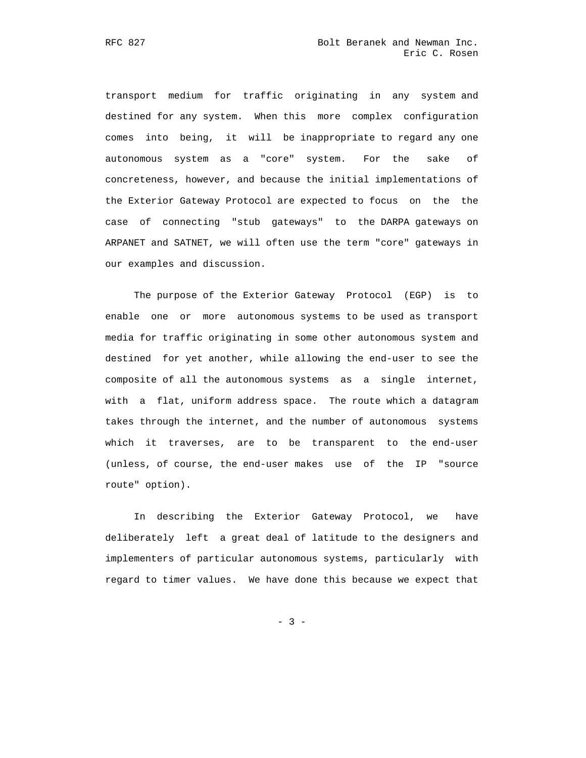transport medium for traffic originating in any system and destined for any system. When this more complex configuration comes into being, it will be inappropriate to regard any one autonomous system as a "core" system. For the sake of concreteness, however, and because the initial implementations of the Exterior Gateway Protocol are expected to focus on the the case of connecting "stub gateways" to the DARPA gateways on ARPANET and SATNET, we will often use the term "core" gateways in our examples and discussion.

 The purpose of the Exterior Gateway Protocol (EGP) is to enable one or more autonomous systems to be used as transport media for traffic originating in some other autonomous system and destined for yet another, while allowing the end-user to see the composite of all the autonomous systems as a single internet, with a flat, uniform address space. The route which a datagram takes through the internet, and the number of autonomous systems which it traverses, are to be transparent to the end-user (unless, of course, the end-user makes use of the IP "source route" option).

 In describing the Exterior Gateway Protocol, we have deliberately left a great deal of latitude to the designers and implementers of particular autonomous systems, particularly with regard to timer values. We have done this because we expect that

- 3 -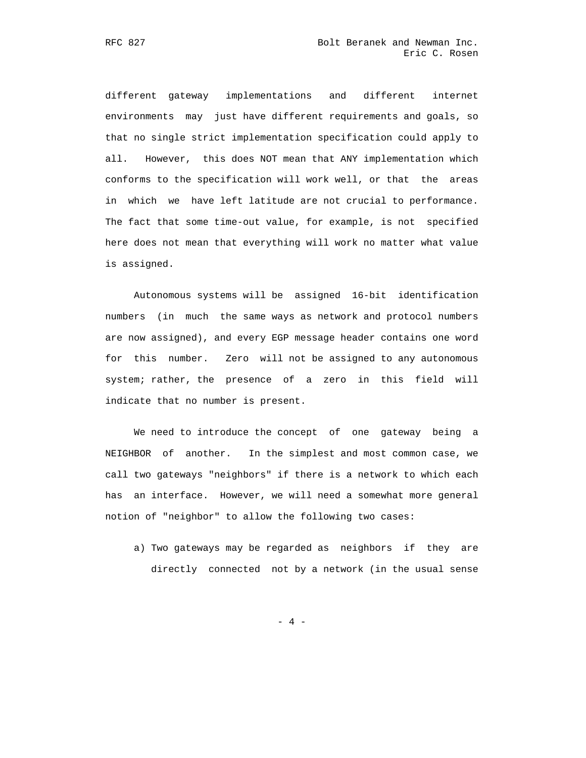different gateway implementations and different internet environments may just have different requirements and goals, so that no single strict implementation specification could apply to all. However, this does NOT mean that ANY implementation which conforms to the specification will work well, or that the areas in which we have left latitude are not crucial to performance. The fact that some time-out value, for example, is not specified here does not mean that everything will work no matter what value is assigned.

 Autonomous systems will be assigned 16-bit identification numbers (in much the same ways as network and protocol numbers are now assigned), and every EGP message header contains one word for this number. Zero will not be assigned to any autonomous system; rather, the presence of a zero in this field will indicate that no number is present.

 We need to introduce the concept of one gateway being a NEIGHBOR of another. In the simplest and most common case, we call two gateways "neighbors" if there is a network to which each has an interface. However, we will need a somewhat more general notion of "neighbor" to allow the following two cases:

 a) Two gateways may be regarded as neighbors if they are directly connected not by a network (in the usual sense

- 4 -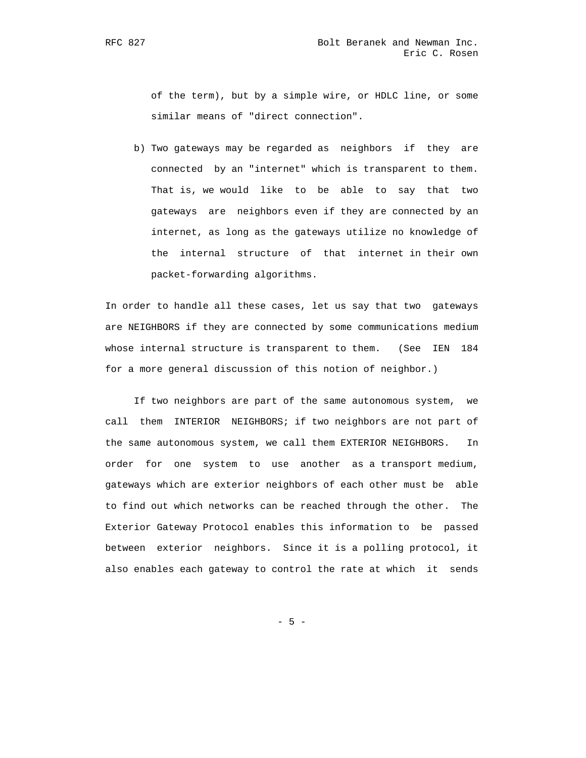of the term), but by a simple wire, or HDLC line, or some similar means of "direct connection".

 b) Two gateways may be regarded as neighbors if they are connected by an "internet" which is transparent to them. That is, we would like to be able to say that two gateways are neighbors even if they are connected by an internet, as long as the gateways utilize no knowledge of the internal structure of that internet in their own packet-forwarding algorithms.

 In order to handle all these cases, let us say that two gateways are NEIGHBORS if they are connected by some communications medium whose internal structure is transparent to them. (See IEN 184 for a more general discussion of this notion of neighbor.)

 If two neighbors are part of the same autonomous system, we call them INTERIOR NEIGHBORS; if two neighbors are not part of the same autonomous system, we call them EXTERIOR NEIGHBORS. In order for one system to use another as a transport medium, gateways which are exterior neighbors of each other must be able to find out which networks can be reached through the other. The Exterior Gateway Protocol enables this information to be passed between exterior neighbors. Since it is a polling protocol, it also enables each gateway to control the rate at which it sends

- 5 -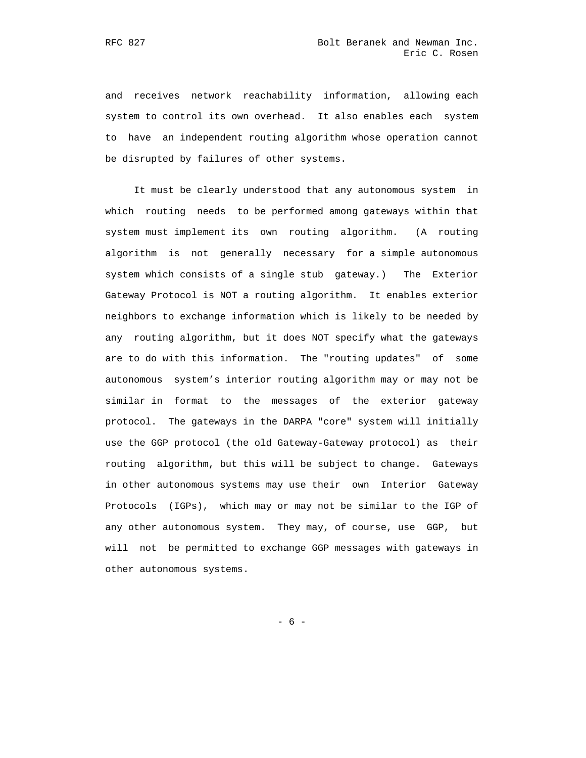and receives network reachability information, allowing each system to control its own overhead. It also enables each system to have an independent routing algorithm whose operation cannot be disrupted by failures of other systems.

 It must be clearly understood that any autonomous system in which routing needs to be performed among gateways within that system must implement its own routing algorithm. (A routing algorithm is not generally necessary for a simple autonomous system which consists of a single stub gateway.) The Exterior Gateway Protocol is NOT a routing algorithm. It enables exterior neighbors to exchange information which is likely to be needed by any routing algorithm, but it does NOT specify what the gateways are to do with this information. The "routing updates" of some autonomous system's interior routing algorithm may or may not be similar in format to the messages of the exterior gateway protocol. The gateways in the DARPA "core" system will initially use the GGP protocol (the old Gateway-Gateway protocol) as their routing algorithm, but this will be subject to change. Gateways in other autonomous systems may use their own Interior Gateway Protocols (IGPs), which may or may not be similar to the IGP of any other autonomous system. They may, of course, use GGP, but will not be permitted to exchange GGP messages with gateways in other autonomous systems.

- 6 -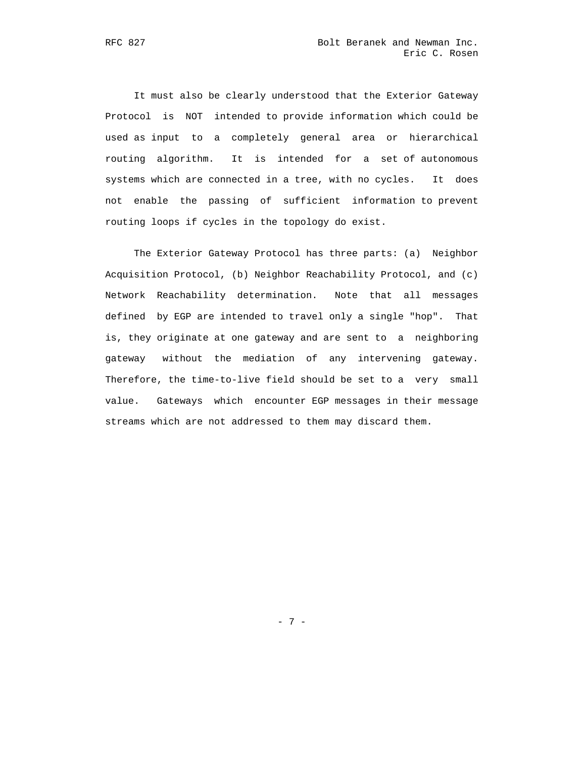It must also be clearly understood that the Exterior Gateway Protocol is NOT intended to provide information which could be used as input to a completely general area or hierarchical routing algorithm. It is intended for a set of autonomous systems which are connected in a tree, with no cycles. It does not enable the passing of sufficient information to prevent routing loops if cycles in the topology do exist.

 The Exterior Gateway Protocol has three parts: (a) Neighbor Acquisition Protocol, (b) Neighbor Reachability Protocol, and (c) Network Reachability determination. Note that all messages defined by EGP are intended to travel only a single "hop". That is, they originate at one gateway and are sent to a neighboring gateway without the mediation of any intervening gateway. Therefore, the time-to-live field should be set to a very small value. Gateways which encounter EGP messages in their message streams which are not addressed to them may discard them.

- 7 -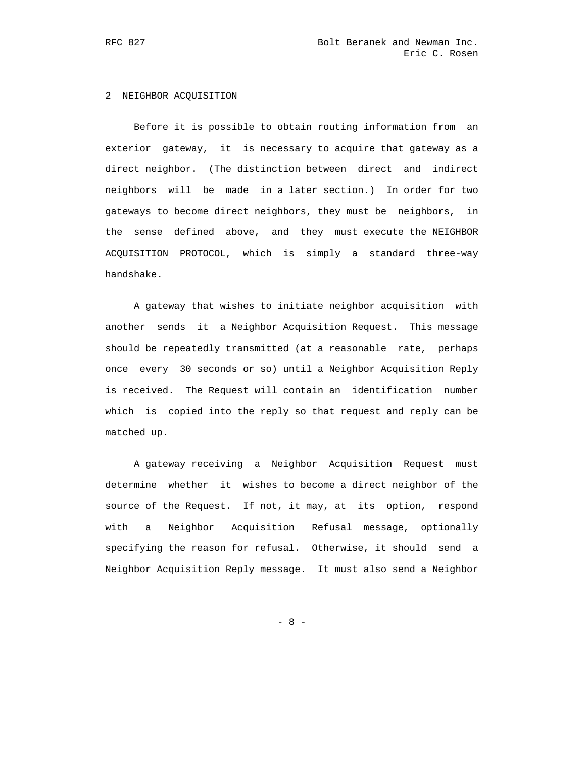### 2 NEIGHBOR ACQUISITION

 Before it is possible to obtain routing information from an exterior gateway, it is necessary to acquire that gateway as a direct neighbor. (The distinction between direct and indirect neighbors will be made in a later section.) In order for two gateways to become direct neighbors, they must be neighbors, in the sense defined above, and they must execute the NEIGHBOR ACQUISITION PROTOCOL, which is simply a standard three-way handshake.

 A gateway that wishes to initiate neighbor acquisition with another sends it a Neighbor Acquisition Request. This message should be repeatedly transmitted (at a reasonable rate, perhaps once every 30 seconds or so) until a Neighbor Acquisition Reply is received. The Request will contain an identification number which is copied into the reply so that request and reply can be matched up.

 A gateway receiving a Neighbor Acquisition Request must determine whether it wishes to become a direct neighbor of the source of the Request. If not, it may, at its option, respond with a Neighbor Acquisition Refusal message, optionally specifying the reason for refusal. Otherwise, it should send a Neighbor Acquisition Reply message. It must also send a Neighbor

- 8 -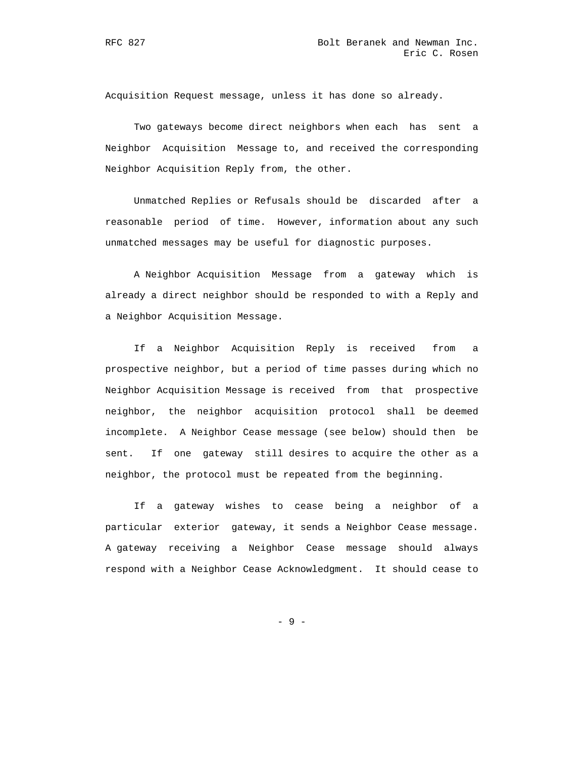Acquisition Request message, unless it has done so already.

 Two gateways become direct neighbors when each has sent a Neighbor Acquisition Message to, and received the corresponding Neighbor Acquisition Reply from, the other.

 Unmatched Replies or Refusals should be discarded after a reasonable period of time. However, information about any such unmatched messages may be useful for diagnostic purposes.

 A Neighbor Acquisition Message from a gateway which is already a direct neighbor should be responded to with a Reply and a Neighbor Acquisition Message.

 If a Neighbor Acquisition Reply is received from a prospective neighbor, but a period of time passes during which no Neighbor Acquisition Message is received from that prospective neighbor, the neighbor acquisition protocol shall be deemed incomplete. A Neighbor Cease message (see below) should then be sent. If one gateway still desires to acquire the other as a neighbor, the protocol must be repeated from the beginning.

 If a gateway wishes to cease being a neighbor of a particular exterior gateway, it sends a Neighbor Cease message. A gateway receiving a Neighbor Cease message should always respond with a Neighbor Cease Acknowledgment. It should cease to

- 9 -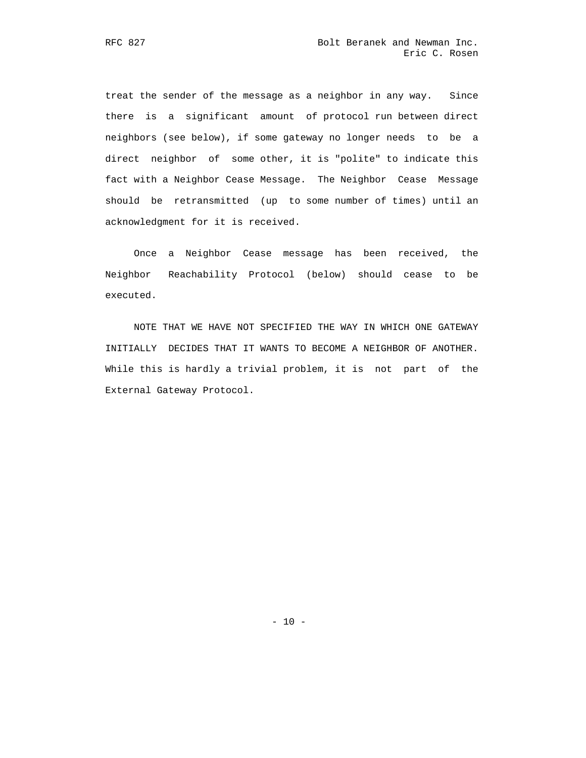treat the sender of the message as a neighbor in any way. Since there is a significant amount of protocol run between direct neighbors (see below), if some gateway no longer needs to be a direct neighbor of some other, it is "polite" to indicate this fact with a Neighbor Cease Message. The Neighbor Cease Message should be retransmitted (up to some number of times) until an acknowledgment for it is received.

 Once a Neighbor Cease message has been received, the Neighbor Reachability Protocol (below) should cease to be executed.

 NOTE THAT WE HAVE NOT SPECIFIED THE WAY IN WHICH ONE GATEWAY INITIALLY DECIDES THAT IT WANTS TO BECOME A NEIGHBOR OF ANOTHER. While this is hardly a trivial problem, it is not part of the External Gateway Protocol.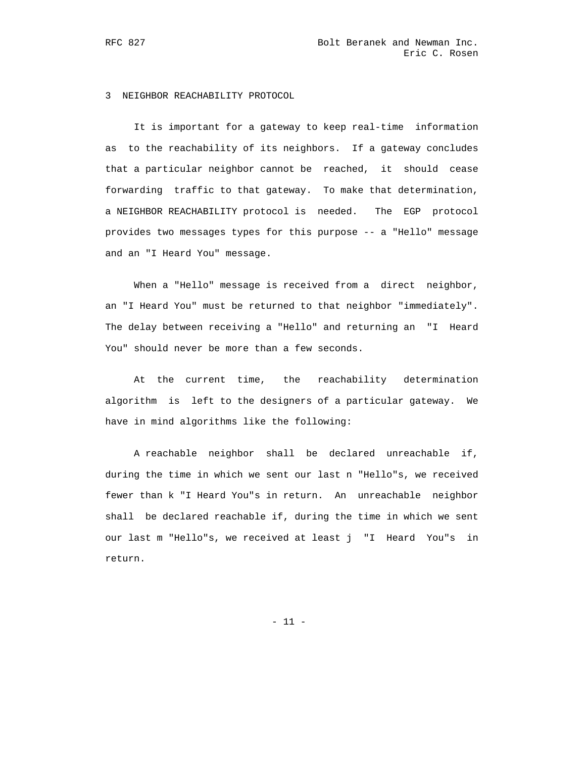### 3 NEIGHBOR REACHABILITY PROTOCOL

 It is important for a gateway to keep real-time information as to the reachability of its neighbors. If a gateway concludes that a particular neighbor cannot be reached, it should cease forwarding traffic to that gateway. To make that determination, a NEIGHBOR REACHABILITY protocol is needed. The EGP protocol provides two messages types for this purpose -- a "Hello" message and an "I Heard You" message.

When a "Hello" message is received from a direct neighbor, an "I Heard You" must be returned to that neighbor "immediately". The delay between receiving a "Hello" and returning an "I Heard You" should never be more than a few seconds.

 At the current time, the reachability determination algorithm is left to the designers of a particular gateway. We have in mind algorithms like the following:

 A reachable neighbor shall be declared unreachable if, during the time in which we sent our last n "Hello"s, we received fewer than k "I Heard You"s in return. An unreachable neighbor shall be declared reachable if, during the time in which we sent our last m "Hello"s, we received at least j "I Heard You"s in return.

- 11 -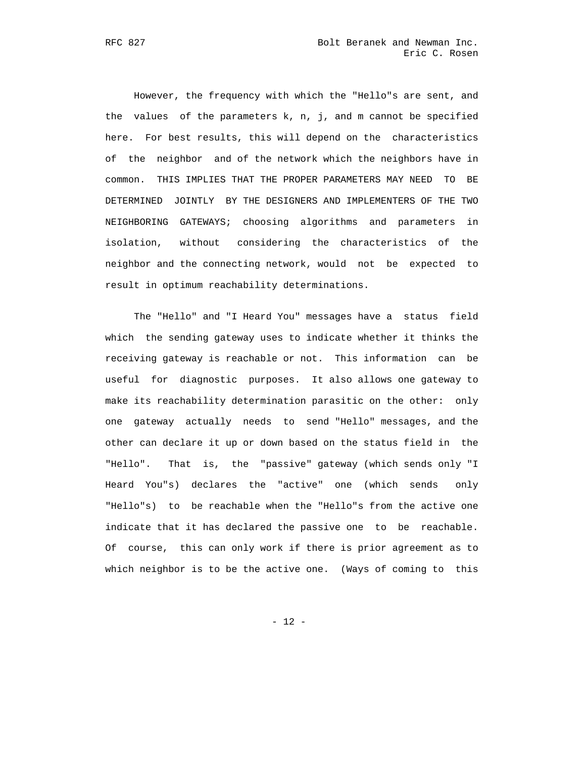However, the frequency with which the "Hello"s are sent, and the values of the parameters k, n, j, and m cannot be specified here. For best results, this will depend on the characteristics of the neighbor and of the network which the neighbors have in common. THIS IMPLIES THAT THE PROPER PARAMETERS MAY NEED TO BE DETERMINED JOINTLY BY THE DESIGNERS AND IMPLEMENTERS OF THE TWO NEIGHBORING GATEWAYS; choosing algorithms and parameters in isolation, without considering the characteristics of the neighbor and the connecting network, would not be expected to result in optimum reachability determinations.

 The "Hello" and "I Heard You" messages have a status field which the sending gateway uses to indicate whether it thinks the receiving gateway is reachable or not. This information can be useful for diagnostic purposes. It also allows one gateway to make its reachability determination parasitic on the other: only one gateway actually needs to send "Hello" messages, and the other can declare it up or down based on the status field in the "Hello". That is, the "passive" gateway (which sends only "I Heard You"s) declares the "active" one (which sends only "Hello"s) to be reachable when the "Hello"s from the active one indicate that it has declared the passive one to be reachable. Of course, this can only work if there is prior agreement as to which neighbor is to be the active one. (Ways of coming to this

- 12 -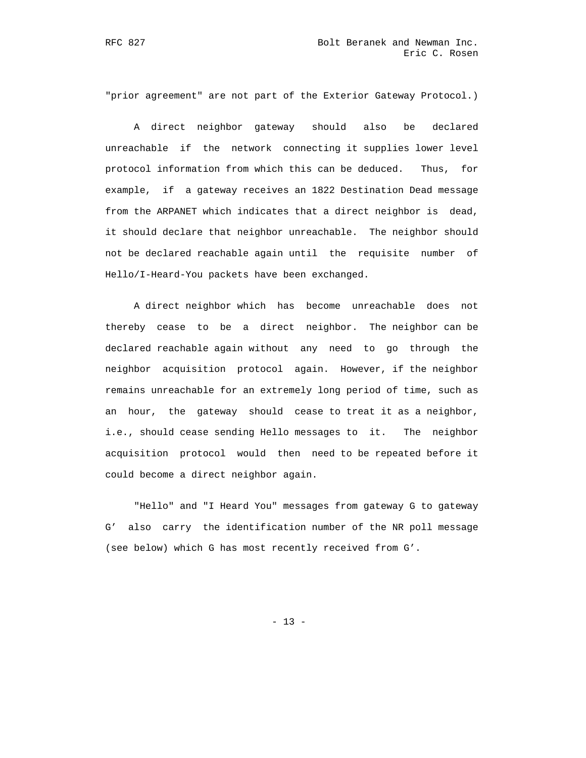"prior agreement" are not part of the Exterior Gateway Protocol.)

 A direct neighbor gateway should also be declared unreachable if the network connecting it supplies lower level protocol information from which this can be deduced. Thus, for example, if a gateway receives an 1822 Destination Dead message from the ARPANET which indicates that a direct neighbor is dead, it should declare that neighbor unreachable. The neighbor should not be declared reachable again until the requisite number of Hello/I-Heard-You packets have been exchanged.

 A direct neighbor which has become unreachable does not thereby cease to be a direct neighbor. The neighbor can be declared reachable again without any need to go through the neighbor acquisition protocol again. However, if the neighbor remains unreachable for an extremely long period of time, such as an hour, the gateway should cease to treat it as a neighbor, i.e., should cease sending Hello messages to it. The neighbor acquisition protocol would then need to be repeated before it could become a direct neighbor again.

 "Hello" and "I Heard You" messages from gateway G to gateway G' also carry the identification number of the NR poll message (see below) which G has most recently received from G'.

- 13 -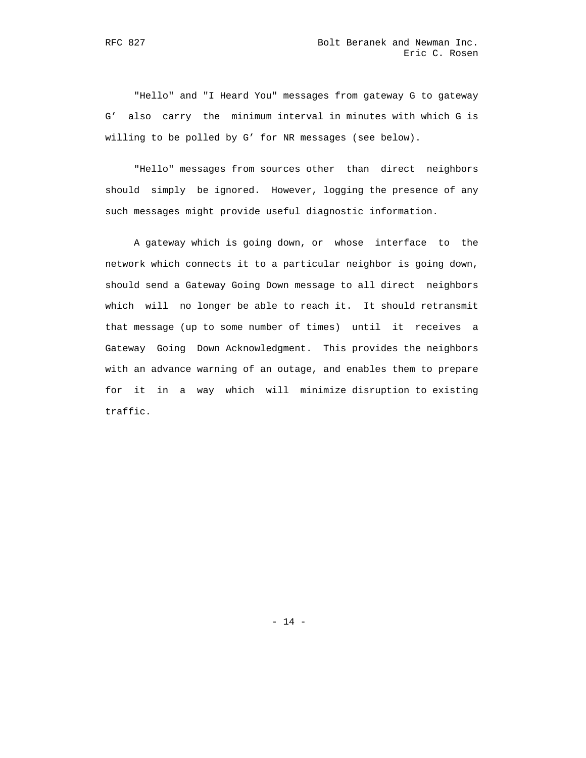"Hello" and "I Heard You" messages from gateway G to gateway G' also carry the minimum interval in minutes with which G is willing to be polled by G' for NR messages (see below).

 "Hello" messages from sources other than direct neighbors should simply be ignored. However, logging the presence of any such messages might provide useful diagnostic information.

 A gateway which is going down, or whose interface to the network which connects it to a particular neighbor is going down, should send a Gateway Going Down message to all direct neighbors which will no longer be able to reach it. It should retransmit that message (up to some number of times) until it receives a Gateway Going Down Acknowledgment. This provides the neighbors with an advance warning of an outage, and enables them to prepare for it in a way which will minimize disruption to existing traffic.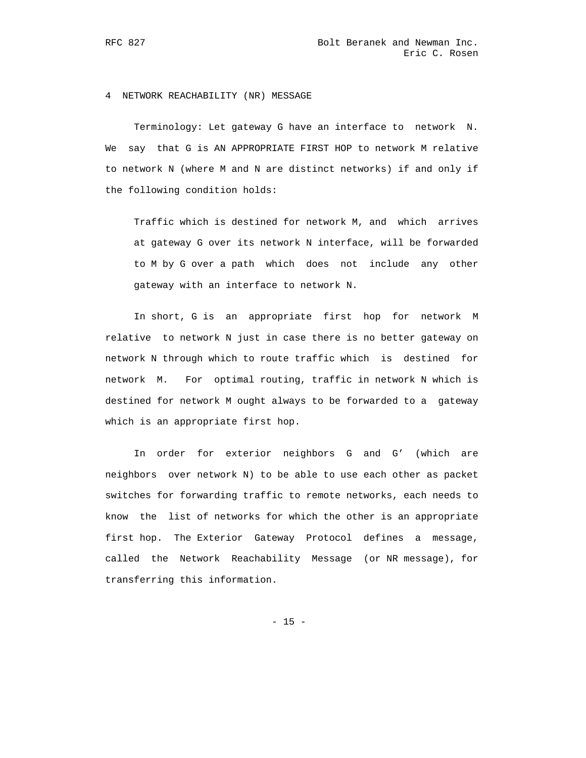4 NETWORK REACHABILITY (NR) MESSAGE

 Terminology: Let gateway G have an interface to network N. We say that G is AN APPROPRIATE FIRST HOP to network M relative to network N (where M and N are distinct networks) if and only if the following condition holds:

 Traffic which is destined for network M, and which arrives at gateway G over its network N interface, will be forwarded to M by G over a path which does not include any other gateway with an interface to network N.

 In short, G is an appropriate first hop for network M relative to network N just in case there is no better gateway on network N through which to route traffic which is destined for network M. For optimal routing, traffic in network N which is destined for network M ought always to be forwarded to a gateway which is an appropriate first hop.

 In order for exterior neighbors G and G' (which are neighbors over network N) to be able to use each other as packet switches for forwarding traffic to remote networks, each needs to know the list of networks for which the other is an appropriate first hop. The Exterior Gateway Protocol defines a message, called the Network Reachability Message (or NR message), for transferring this information.

- 15 -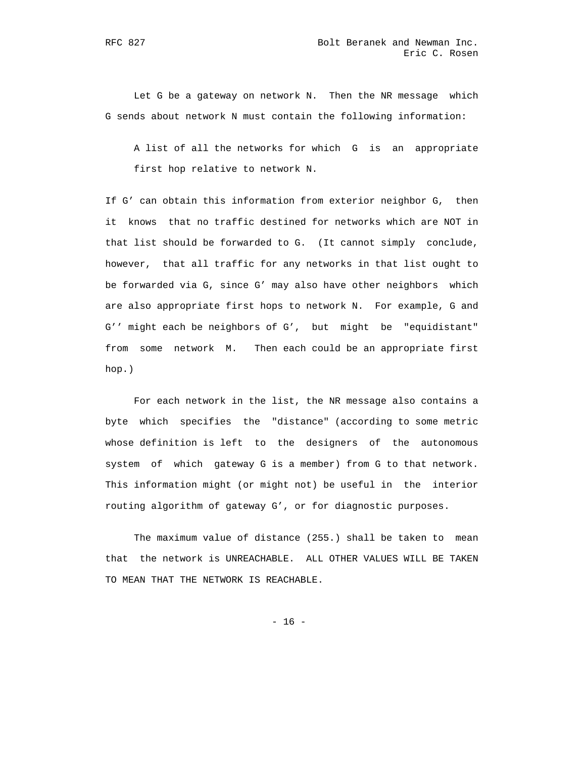Let G be a gateway on network N. Then the NR message which G sends about network N must contain the following information:

 A list of all the networks for which G is an appropriate first hop relative to network N.

 If G' can obtain this information from exterior neighbor G, then it knows that no traffic destined for networks which are NOT in that list should be forwarded to G. (It cannot simply conclude, however, that all traffic for any networks in that list ought to be forwarded via G, since G' may also have other neighbors which are also appropriate first hops to network N. For example, G and G'' might each be neighbors of G', but might be "equidistant" from some network M. Then each could be an appropriate first hop.)

 For each network in the list, the NR message also contains a byte which specifies the "distance" (according to some metric whose definition is left to the designers of the autonomous system of which gateway G is a member) from G to that network. This information might (or might not) be useful in the interior routing algorithm of gateway G', or for diagnostic purposes.

 The maximum value of distance (255.) shall be taken to mean that the network is UNREACHABLE. ALL OTHER VALUES WILL BE TAKEN TO MEAN THAT THE NETWORK IS REACHABLE.

- 16 -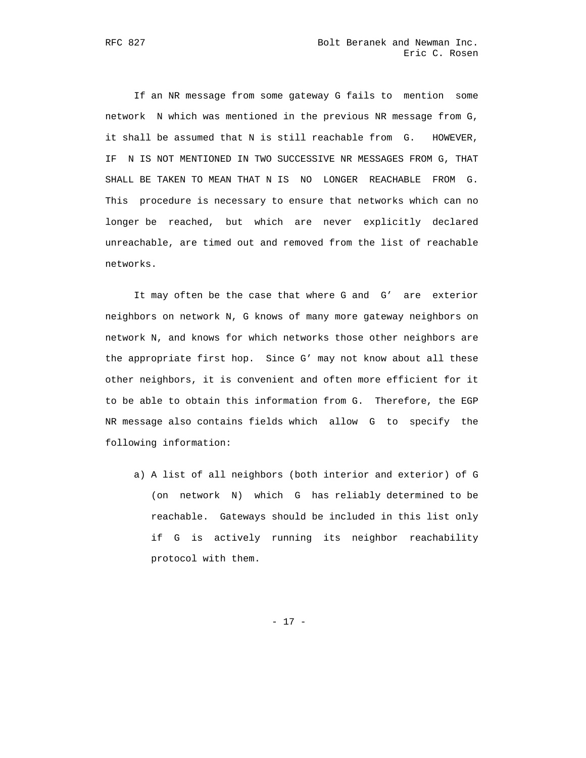If an NR message from some gateway G fails to mention some network N which was mentioned in the previous NR message from G, it shall be assumed that N is still reachable from G. HOWEVER, IF N IS NOT MENTIONED IN TWO SUCCESSIVE NR MESSAGES FROM G, THAT SHALL BE TAKEN TO MEAN THAT N IS NO LONGER REACHABLE FROM G. This procedure is necessary to ensure that networks which can no longer be reached, but which are never explicitly declared unreachable, are timed out and removed from the list of reachable networks.

 It may often be the case that where G and G' are exterior neighbors on network N, G knows of many more gateway neighbors on network N, and knows for which networks those other neighbors are the appropriate first hop. Since G' may not know about all these other neighbors, it is convenient and often more efficient for it to be able to obtain this information from G. Therefore, the EGP NR message also contains fields which allow G to specify the following information:

 a) A list of all neighbors (both interior and exterior) of G (on network N) which G has reliably determined to be reachable. Gateways should be included in this list only if G is actively running its neighbor reachability protocol with them.

- 17 -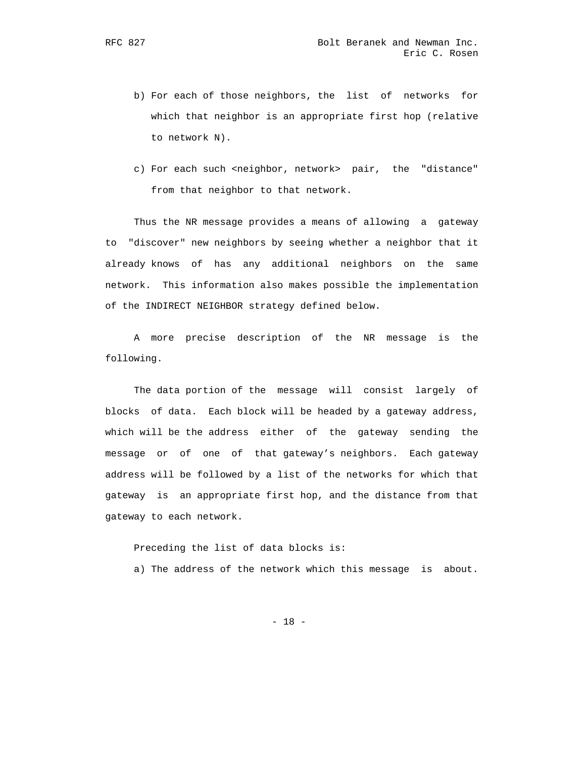- b) For each of those neighbors, the list of networks for which that neighbor is an appropriate first hop (relative to network N).
- c) For each such <neighbor, network> pair, the "distance" from that neighbor to that network.

 Thus the NR message provides a means of allowing a gateway to "discover" new neighbors by seeing whether a neighbor that it already knows of has any additional neighbors on the same network. This information also makes possible the implementation of the INDIRECT NEIGHBOR strategy defined below.

 A more precise description of the NR message is the following.

 The data portion of the message will consist largely of blocks of data. Each block will be headed by a gateway address, which will be the address either of the gateway sending the message or of one of that gateway's neighbors. Each gateway address will be followed by a list of the networks for which that gateway is an appropriate first hop, and the distance from that gateway to each network.

 Preceding the list of data blocks is: a) The address of the network which this message is about.

- 18 -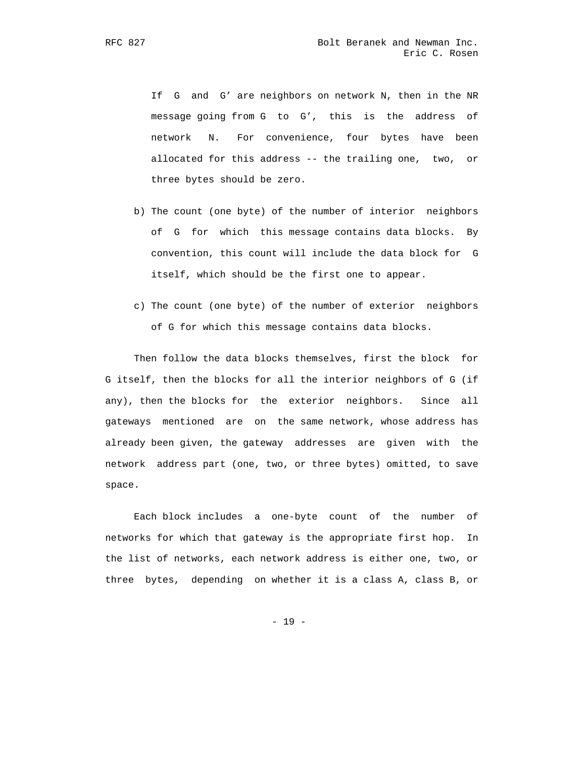If G and G' are neighbors on network N, then in the NR message going from G to G', this is the address of network N. For convenience, four bytes have been allocated for this address -- the trailing one, two, or three bytes should be zero.

- b) The count (one byte) of the number of interior neighbors of G for which this message contains data blocks. By convention, this count will include the data block for G itself, which should be the first one to appear.
- c) The count (one byte) of the number of exterior neighbors of G for which this message contains data blocks.

 Then follow the data blocks themselves, first the block for G itself, then the blocks for all the interior neighbors of G (if any), then the blocks for the exterior neighbors. Since all gateways mentioned are on the same network, whose address has already been given, the gateway addresses are given with the network address part (one, two, or three bytes) omitted, to save space.

 Each block includes a one-byte count of the number of networks for which that gateway is the appropriate first hop. In the list of networks, each network address is either one, two, or three bytes, depending on whether it is a class A, class B, or

- 19 -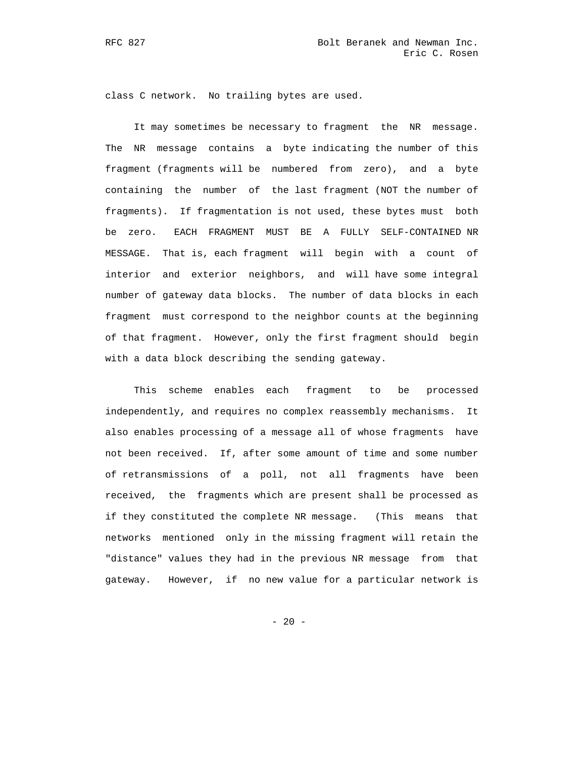class C network. No trailing bytes are used.

 It may sometimes be necessary to fragment the NR message. The NR message contains a byte indicating the number of this fragment (fragments will be numbered from zero), and a byte containing the number of the last fragment (NOT the number of fragments). If fragmentation is not used, these bytes must both be zero. EACH FRAGMENT MUST BE A FULLY SELF-CONTAINED NR MESSAGE. That is, each fragment will begin with a count of interior and exterior neighbors, and will have some integral number of gateway data blocks. The number of data blocks in each fragment must correspond to the neighbor counts at the beginning of that fragment. However, only the first fragment should begin with a data block describing the sending gateway.

 This scheme enables each fragment to be processed independently, and requires no complex reassembly mechanisms. It also enables processing of a message all of whose fragments have not been received. If, after some amount of time and some number of retransmissions of a poll, not all fragments have been received, the fragments which are present shall be processed as if they constituted the complete NR message. (This means that networks mentioned only in the missing fragment will retain the "distance" values they had in the previous NR message from that gateway. However, if no new value for a particular network is

- 20 -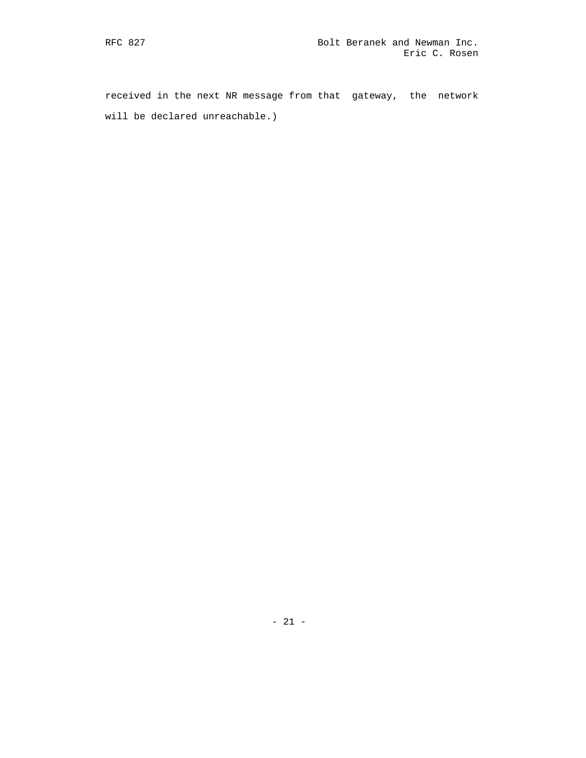received in the next NR message from that gateway, the network will be declared unreachable.)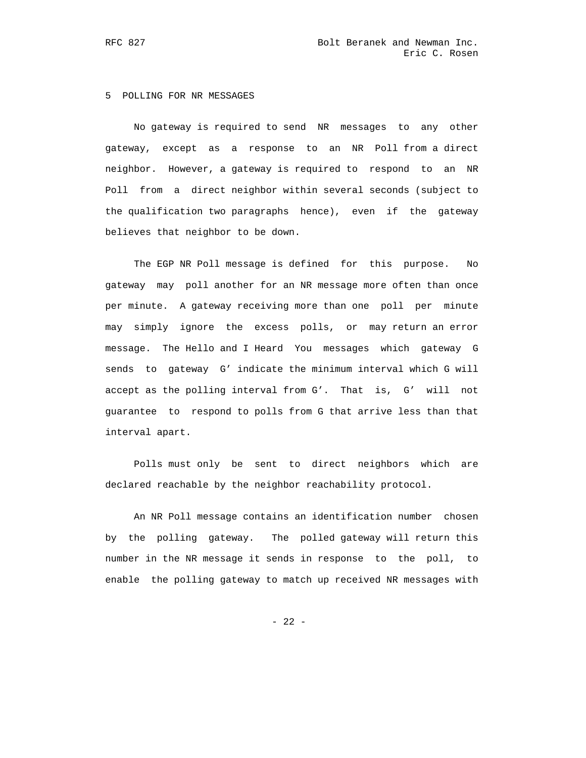# 5 POLLING FOR NR MESSAGES

 No gateway is required to send NR messages to any other gateway, except as a response to an NR Poll from a direct neighbor. However, a gateway is required to respond to an NR Poll from a direct neighbor within several seconds (subject to the qualification two paragraphs hence), even if the gateway believes that neighbor to be down.

 The EGP NR Poll message is defined for this purpose. No gateway may poll another for an NR message more often than once per minute. A gateway receiving more than one poll per minute may simply ignore the excess polls, or may return an error message. The Hello and I Heard You messages which gateway G sends to gateway G' indicate the minimum interval which G will accept as the polling interval from G'. That is, G' will not guarantee to respond to polls from G that arrive less than that interval apart.

 Polls must only be sent to direct neighbors which are declared reachable by the neighbor reachability protocol.

 An NR Poll message contains an identification number chosen by the polling gateway. The polled gateway will return this number in the NR message it sends in response to the poll, to enable the polling gateway to match up received NR messages with

- 22 -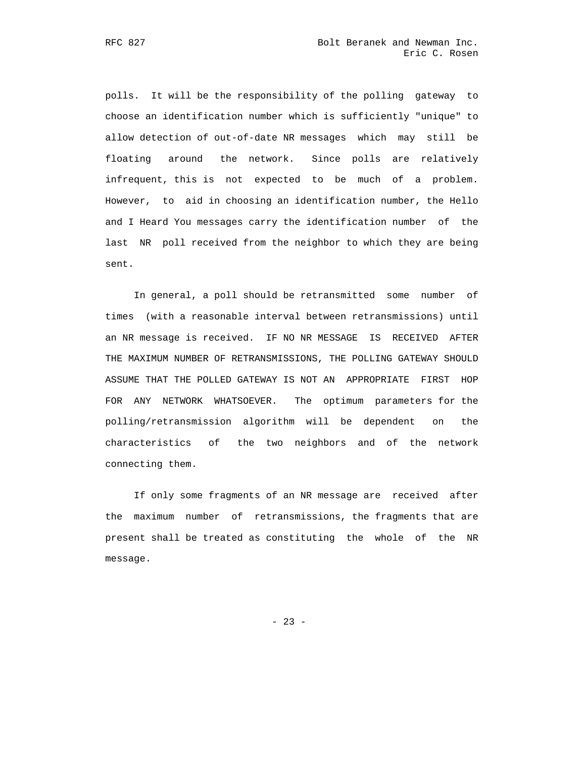polls. It will be the responsibility of the polling gateway to choose an identification number which is sufficiently "unique" to allow detection of out-of-date NR messages which may still be floating around the network. Since polls are relatively infrequent, this is not expected to be much of a problem. However, to aid in choosing an identification number, the Hello and I Heard You messages carry the identification number of the last NR poll received from the neighbor to which they are being sent.

 In general, a poll should be retransmitted some number of times (with a reasonable interval between retransmissions) until an NR message is received. IF NO NR MESSAGE IS RECEIVED AFTER THE MAXIMUM NUMBER OF RETRANSMISSIONS, THE POLLING GATEWAY SHOULD ASSUME THAT THE POLLED GATEWAY IS NOT AN APPROPRIATE FIRST HOP FOR ANY NETWORK WHATSOEVER. The optimum parameters for the polling/retransmission algorithm will be dependent on the characteristics of the two neighbors and of the network connecting them.

 If only some fragments of an NR message are received after the maximum number of retransmissions, the fragments that are present shall be treated as constituting the whole of the NR message.

- 23 -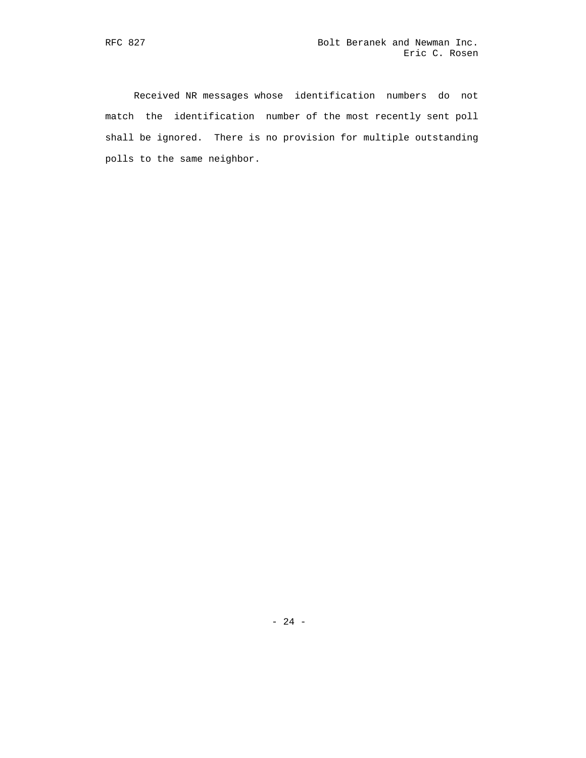Received NR messages whose identification numbers do not match the identification number of the most recently sent poll shall be ignored. There is no provision for multiple outstanding polls to the same neighbor.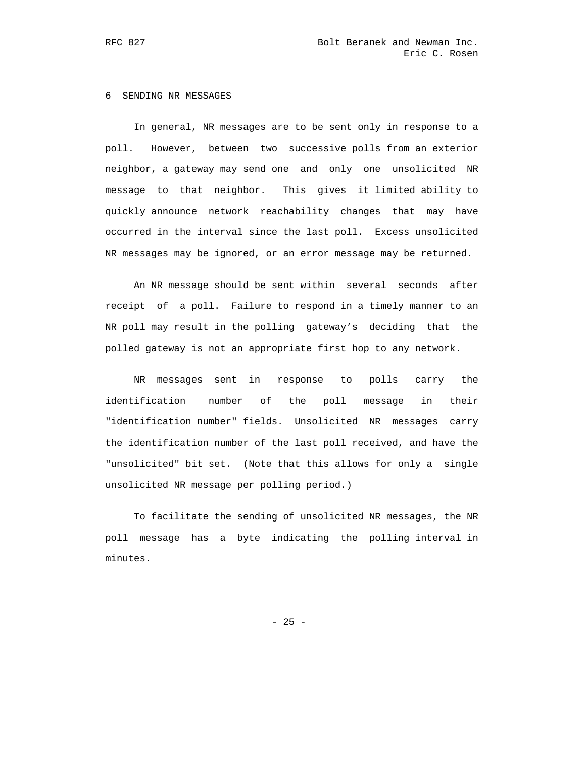#### 6 SENDING NR MESSAGES

 In general, NR messages are to be sent only in response to a poll. However, between two successive polls from an exterior neighbor, a gateway may send one and only one unsolicited NR message to that neighbor. This gives it limited ability to quickly announce network reachability changes that may have occurred in the interval since the last poll. Excess unsolicited NR messages may be ignored, or an error message may be returned.

 An NR message should be sent within several seconds after receipt of a poll. Failure to respond in a timely manner to an NR poll may result in the polling gateway's deciding that the polled gateway is not an appropriate first hop to any network.

 NR messages sent in response to polls carry the identification number of the poll message in their "identification number" fields. Unsolicited NR messages carry the identification number of the last poll received, and have the "unsolicited" bit set. (Note that this allows for only a single unsolicited NR message per polling period.)

 To facilitate the sending of unsolicited NR messages, the NR poll message has a byte indicating the polling interval in minutes.

- 25 -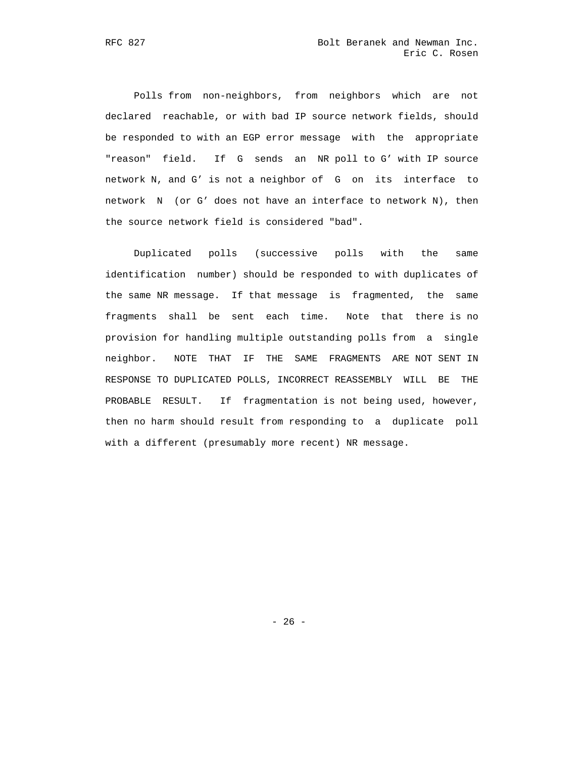Polls from non-neighbors, from neighbors which are not declared reachable, or with bad IP source network fields, should be responded to with an EGP error message with the appropriate "reason" field. If G sends an NR poll to G' with IP source network N, and G' is not a neighbor of G on its interface to network N (or G' does not have an interface to network N), then the source network field is considered "bad".

 Duplicated polls (successive polls with the same identification number) should be responded to with duplicates of the same NR message. If that message is fragmented, the same fragments shall be sent each time. Note that there is no provision for handling multiple outstanding polls from a single neighbor. NOTE THAT IF THE SAME FRAGMENTS ARE NOT SENT IN RESPONSE TO DUPLICATED POLLS, INCORRECT REASSEMBLY WILL BE THE PROBABLE RESULT. If fragmentation is not being used, however, then no harm should result from responding to a duplicate poll with a different (presumably more recent) NR message.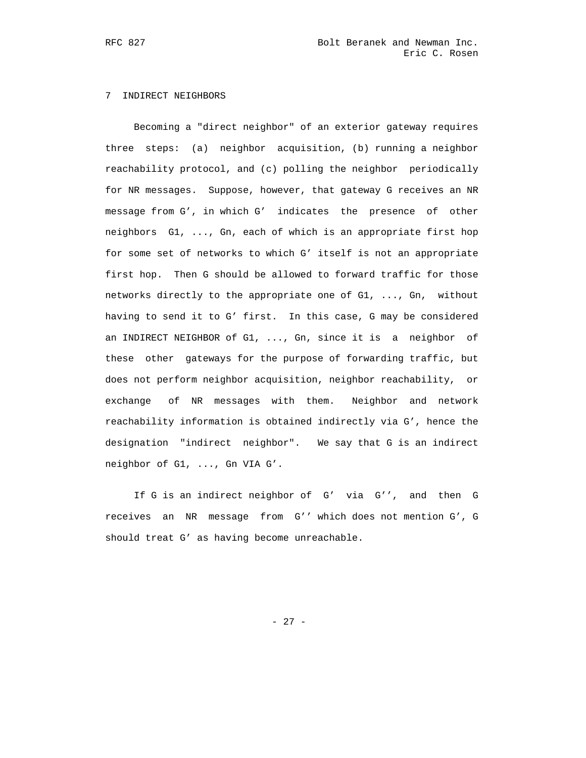# 7 INDIRECT NEIGHBORS

 Becoming a "direct neighbor" of an exterior gateway requires three steps: (a) neighbor acquisition, (b) running a neighbor reachability protocol, and (c) polling the neighbor periodically for NR messages. Suppose, however, that gateway G receives an NR message from G', in which G' indicates the presence of other neighbors G1, ..., Gn, each of which is an appropriate first hop for some set of networks to which G' itself is not an appropriate first hop. Then G should be allowed to forward traffic for those networks directly to the appropriate one of G1, ..., Gn, without having to send it to G' first. In this case, G may be considered an INDIRECT NEIGHBOR of G1, ..., Gn, since it is a neighbor of these other gateways for the purpose of forwarding traffic, but does not perform neighbor acquisition, neighbor reachability, or exchange of NR messages with them. Neighbor and network reachability information is obtained indirectly via G', hence the designation "indirect neighbor". We say that G is an indirect neighbor of G1, ..., Gn VIA G'.

 If G is an indirect neighbor of G' via G'', and then G receives an NR message from G'' which does not mention G', G should treat G' as having become unreachable.

- 27 -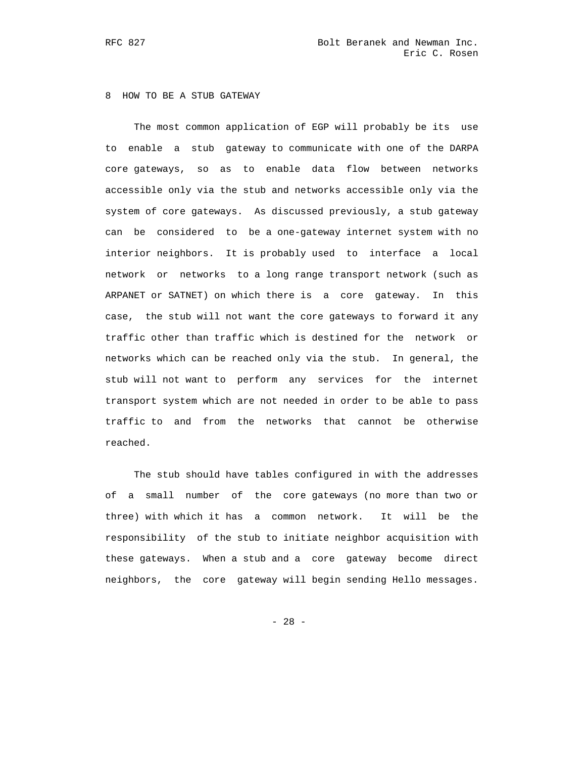# 8 HOW TO BE A STUB GATEWAY

 The most common application of EGP will probably be its use to enable a stub gateway to communicate with one of the DARPA core gateways, so as to enable data flow between networks accessible only via the stub and networks accessible only via the system of core gateways. As discussed previously, a stub gateway can be considered to be a one-gateway internet system with no interior neighbors. It is probably used to interface a local network or networks to a long range transport network (such as ARPANET or SATNET) on which there is a core gateway. In this case, the stub will not want the core gateways to forward it any traffic other than traffic which is destined for the network or networks which can be reached only via the stub. In general, the stub will not want to perform any services for the internet transport system which are not needed in order to be able to pass traffic to and from the networks that cannot be otherwise reached.

 The stub should have tables configured in with the addresses of a small number of the core gateways (no more than two or three) with which it has a common network. It will be the responsibility of the stub to initiate neighbor acquisition with these gateways. When a stub and a core gateway become direct neighbors, the core gateway will begin sending Hello messages.

- 28 -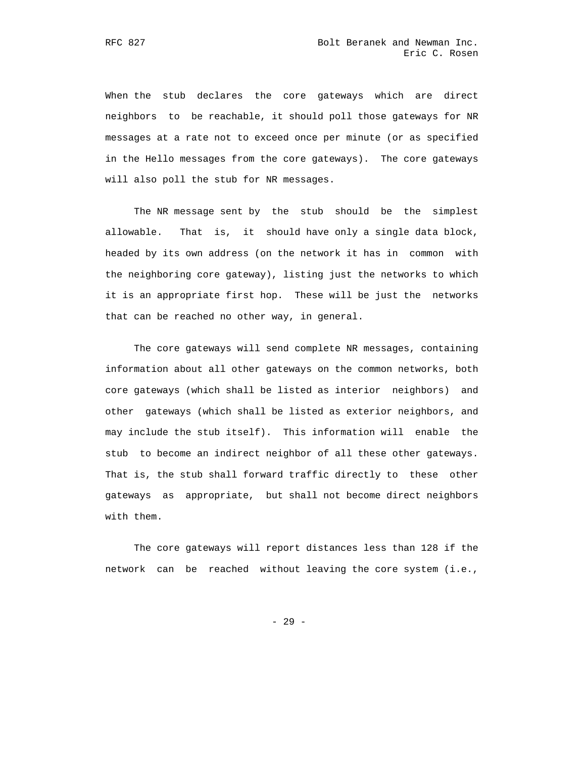When the stub declares the core gateways which are direct neighbors to be reachable, it should poll those gateways for NR messages at a rate not to exceed once per minute (or as specified in the Hello messages from the core gateways). The core gateways will also poll the stub for NR messages.

 The NR message sent by the stub should be the simplest allowable. That is, it should have only a single data block, headed by its own address (on the network it has in common with the neighboring core gateway), listing just the networks to which it is an appropriate first hop. These will be just the networks that can be reached no other way, in general.

 The core gateways will send complete NR messages, containing information about all other gateways on the common networks, both core gateways (which shall be listed as interior neighbors) and other gateways (which shall be listed as exterior neighbors, and may include the stub itself). This information will enable the stub to become an indirect neighbor of all these other gateways. That is, the stub shall forward traffic directly to these other gateways as appropriate, but shall not become direct neighbors with them.

 The core gateways will report distances less than 128 if the network can be reached without leaving the core system (i.e.,

- 29 -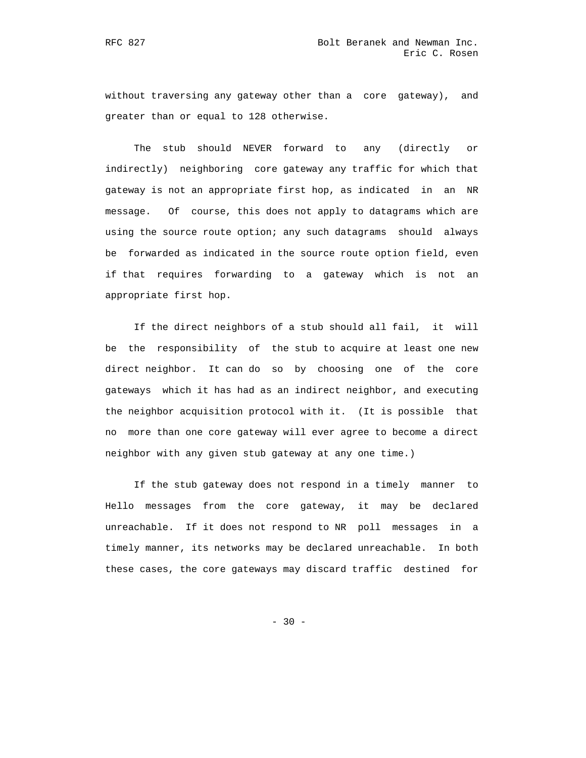without traversing any gateway other than a core gateway), and greater than or equal to 128 otherwise.

 The stub should NEVER forward to any (directly or indirectly) neighboring core gateway any traffic for which that gateway is not an appropriate first hop, as indicated in an NR message. Of course, this does not apply to datagrams which are using the source route option; any such datagrams should always be forwarded as indicated in the source route option field, even if that requires forwarding to a gateway which is not an appropriate first hop.

 If the direct neighbors of a stub should all fail, it will be the responsibility of the stub to acquire at least one new direct neighbor. It can do so by choosing one of the core gateways which it has had as an indirect neighbor, and executing the neighbor acquisition protocol with it. (It is possible that no more than one core gateway will ever agree to become a direct neighbor with any given stub gateway at any one time.)

 If the stub gateway does not respond in a timely manner to Hello messages from the core gateway, it may be declared unreachable. If it does not respond to NR poll messages in a timely manner, its networks may be declared unreachable. In both these cases, the core gateways may discard traffic destined for

- 30 -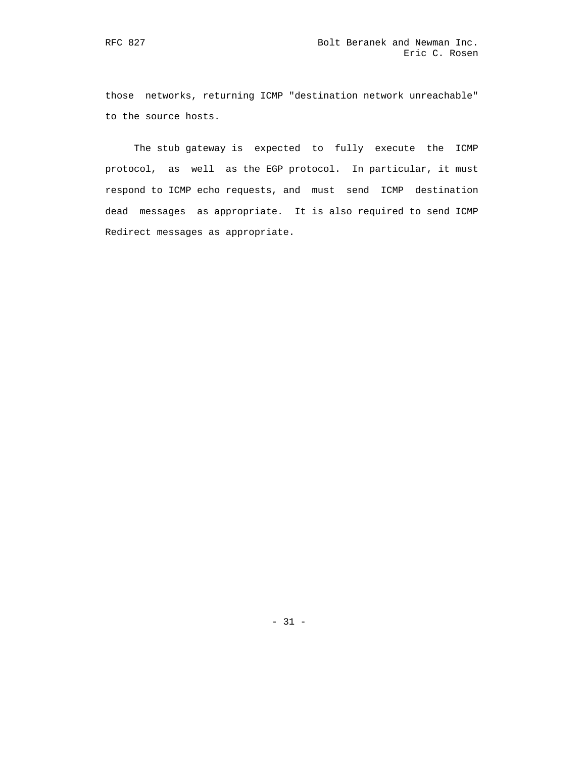those networks, returning ICMP "destination network unreachable" to the source hosts.

 The stub gateway is expected to fully execute the ICMP protocol, as well as the EGP protocol. In particular, it must respond to ICMP echo requests, and must send ICMP destination dead messages as appropriate. It is also required to send ICMP Redirect messages as appropriate.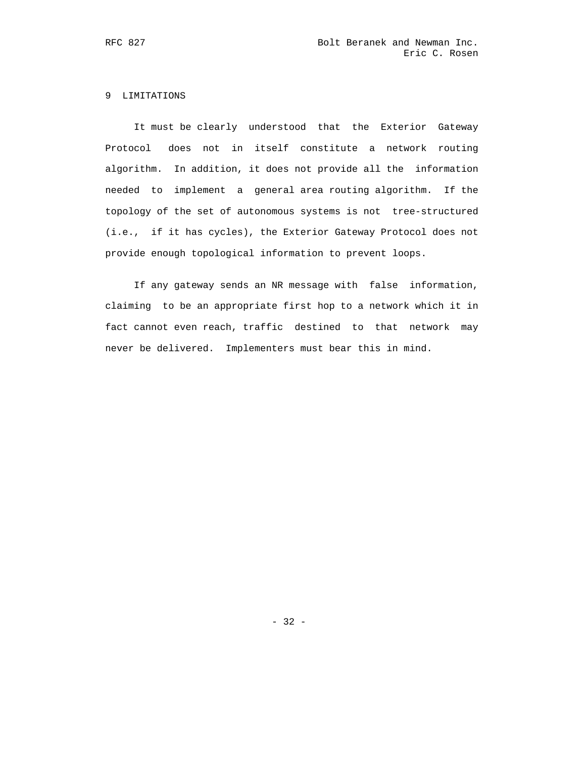# 9 LIMITATIONS

 It must be clearly understood that the Exterior Gateway Protocol does not in itself constitute a network routing algorithm. In addition, it does not provide all the information needed to implement a general area routing algorithm. If the topology of the set of autonomous systems is not tree-structured (i.e., if it has cycles), the Exterior Gateway Protocol does not provide enough topological information to prevent loops.

 If any gateway sends an NR message with false information, claiming to be an appropriate first hop to a network which it in fact cannot even reach, traffic destined to that network may never be delivered. Implementers must bear this in mind.

- 32 -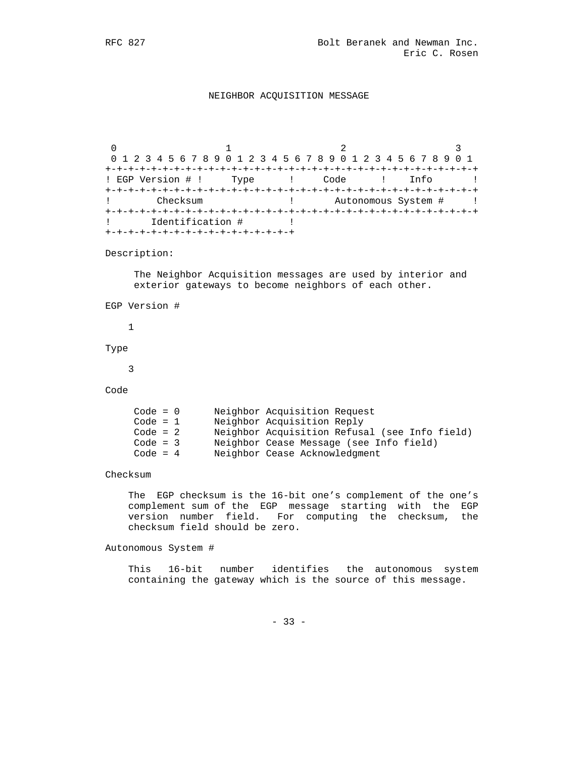### NEIGHBOR ACQUISITION MESSAGE

0  $1$   $2$   $3$  0 1 2 3 4 5 6 7 8 9 0 1 2 3 4 5 6 7 8 9 0 1 2 3 4 5 6 7 8 9 0 1 +-+-+-+-+-+-+-+-+-+-+-+-+-+-+-+-+-+-+-+-+-+-+-+-+-+-+-+-+-+-+-+-+ ! EGP Version # ! Type ! Code ! Info ! +-+-+-+-+-+-+-+-+-+-+-+-+-+-+-+-+-+-+-+-+-+-+-+-+-+-+-+-+-+-+-+-+ ! Checksum ! Autonomous System # ! +-+-+-+-+-+-+-+-+-+-+-+-+-+-+-+-+-+-+-+-+-+-+-+-+-+-+-+-+-+-+-+-+ ! Identification # ! +-+-+-+-+-+-+-+-+-+-+-+-+-+-+-+-+

Description:

 The Neighbor Acquisition messages are used by interior and exterior gateways to become neighbors of each other.

```
 EGP Version #
```
1

Type

3

Code

| $Code = 0$ | Neighbor Acquisition Request                  |
|------------|-----------------------------------------------|
| Code = $1$ | Neighbor Acquisition Reply                    |
| Code = $2$ | Neighbor Acquisition Refusal (see Info field) |
| Code = $3$ | Neighbor Cease Message (see Info field)       |
| Code = $4$ | Neighbor Cease Acknowledgment                 |

Checksum

 The EGP checksum is the 16-bit one's complement of the one's complement sum of the EGP message starting with the EGP version number field. For computing the checksum, the checksum field should be zero.

Autonomous System #

 This 16-bit number identifies the autonomous system containing the gateway which is the source of this message.

- 33 -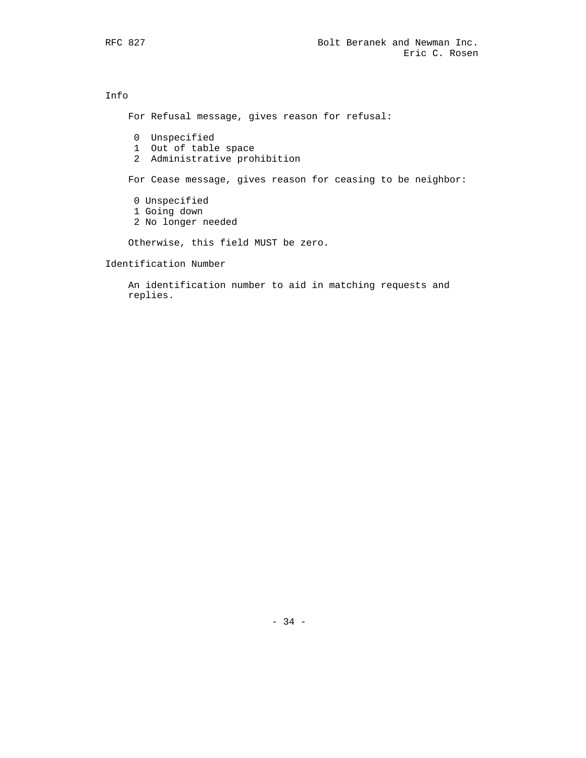Info For Refusal message, gives reason for refusal: 0 Unspecified 1 Out of table space 2 Administrative prohibition For Cease message, gives reason for ceasing to be neighbor: 0 Unspecified 1 Going down 2 No longer needed Otherwise, this field MUST be zero.

Identification Number

 An identification number to aid in matching requests and replies.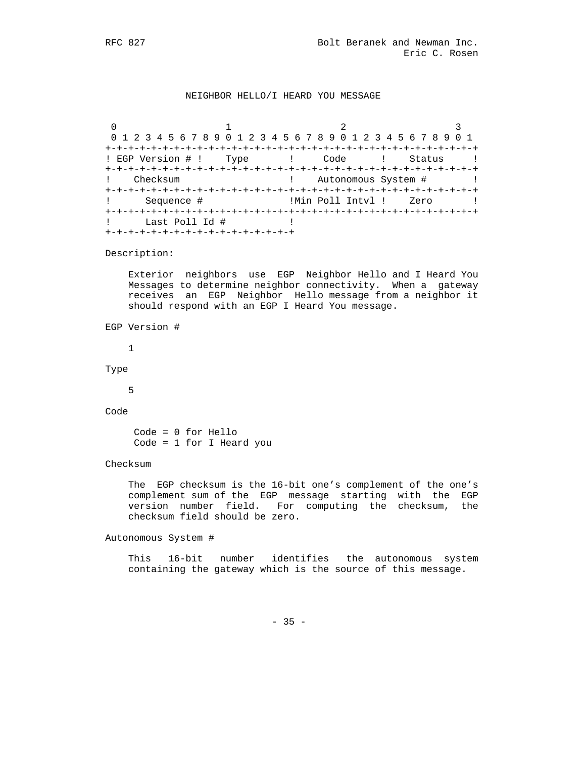### NEIGHBOR HELLO/I HEARD YOU MESSAGE

 $0$  and  $1$  and  $2$  3 0 1 2 3 4 5 6 7 8 9 0 1 2 3 4 5 6 7 8 9 0 1 2 3 4 5 6 7 8 9 0 1 +-+-+-+-+-+-+-+-+-+-+-+-+-+-+-+-+-+-+-+-+-+-+-+-+-+-+-+-+-+-+-+-+ ! EGP Version # ! Type ! Code ! Status ! +-+-+-+-+-+-+-+-+-+-+-+-+-+-+-+-+-+-+-+-+-+-+-+-+-+-+-+-+-+-+-+-+ Checksum (2008) 2012 12: Autonomous System # 1 +-+-+-+-+-+-+-+-+-+-+-+-+-+-+-+-+-+-+-+-+-+-+-+-+-+-+-+-+-+-+-+-+ Sequence #  $\qquad \qquad$  !Min Poll Intvl ! Zero : +-+-+-+-+-+-+-+-+-+-+-+-+-+-+-+-+-+-+-+-+-+-+-+-+-+-+-+-+-+-+-+-+ ! Last Poll Id # ! +-+-+-+-+-+-+-+-+-+-+-+-+-+-+-+-+

Description:

 Exterior neighbors use EGP Neighbor Hello and I Heard You Messages to determine neighbor connectivity. When a gateway receives an EGP Neighbor Hello message from a neighbor it should respond with an EGP I Heard You message.

EGP Version #

1

Type

5

Code

 Code = 0 for Hello Code = 1 for I Heard you

Checksum

 The EGP checksum is the 16-bit one's complement of the one's complement sum of the EGP message starting with the EGP version number field. For computing the checksum, the checksum field should be zero.

Autonomous System #

 This 16-bit number identifies the autonomous system containing the gateway which is the source of this message.

 $- 35 -$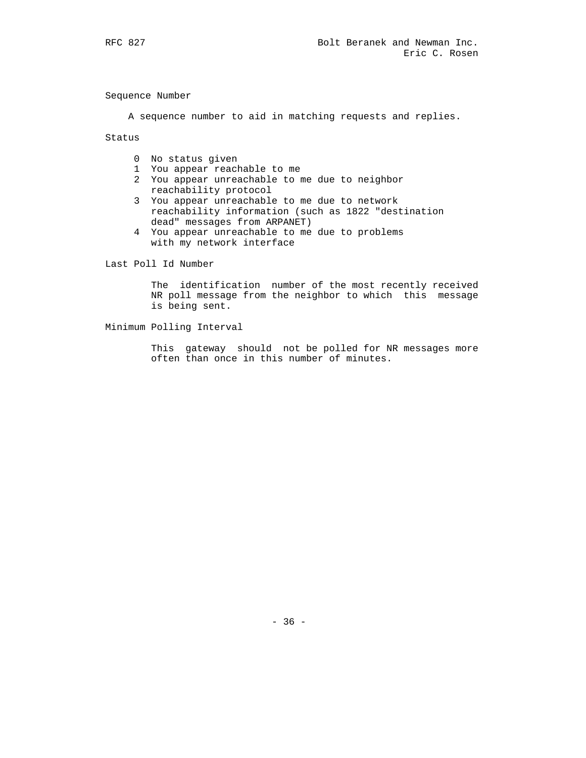Sequence Number

A sequence number to aid in matching requests and replies.

Status

- 0 No status given
- 1 You appear reachable to me
- 2 You appear unreachable to me due to neighbor reachability protocol
- 3 You appear unreachable to me due to network reachability information (such as 1822 "destination dead" messages from ARPANET)
- 4 You appear unreachable to me due to problems with my network interface

Last Poll Id Number

 The identification number of the most recently received NR poll message from the neighbor to which this message is being sent.

Minimum Polling Interval

 This gateway should not be polled for NR messages more often than once in this number of minutes.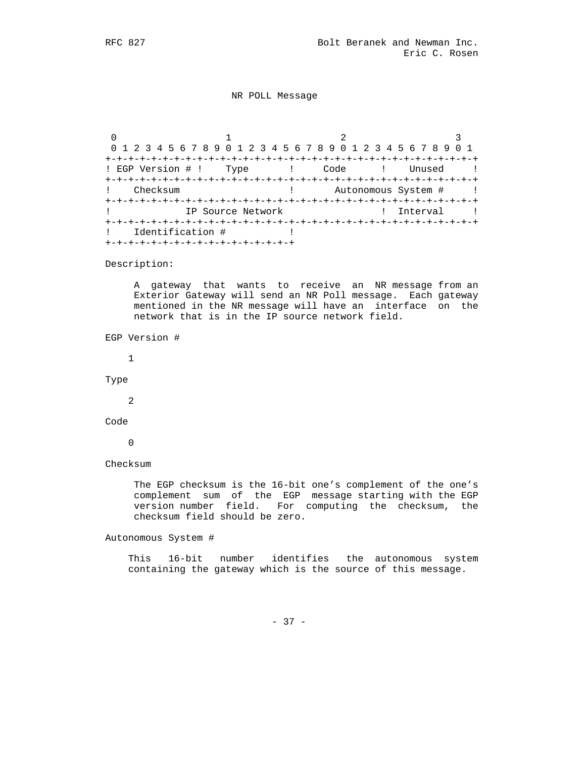NR POLL Message

0  $1$   $2$   $3$  0 1 2 3 4 5 6 7 8 9 0 1 2 3 4 5 6 7 8 9 0 1 2 3 4 5 6 7 8 9 0 1 +-+-+-+-+-+-+-+-+-+-+-+-+-+-+-+-+-+-+-+-+-+-+-+-+-+-+-+-+-+-+-+-+ ! EGP Version # ! Type ! Code ! Unused ! +-+-+-+-+-+-+-+-+-+-+-+-+-+-+-+-+-+-+-+-+-+-+-+-+-+-+-+-+-+-+-+-+ ! Checksum ! Autonomous System # ! +-+-+-+-+-+-+-+-+-+-+-+-+-+-+-+-+-+-+-+-+-+-+-+-+-+-+-+-+-+-+-+-+ ! IP Source Network ! Interval ! +-+-+-+-+-+-+-+-+-+-+-+-+-+-+-+-+-+-+-+-+-+-+-+-+-+-+-+-+-+-+-+-+ ! Identification # ! +-+-+-+-+-+-+-+-+-+-+-+-+-+-+-+-+

Description:

 A gateway that wants to receive an NR message from an Exterior Gateway will send an NR Poll message. Each gateway mentioned in the NR message will have an interface on the network that is in the IP source network field.

EGP Version #

1

Type

2

Code

 $\overline{0}$ 

Checksum

 The EGP checksum is the 16-bit one's complement of the one's complement sum of the EGP message starting with the EGP version number field. For computing the checksum, the checksum field should be zero.

Autonomous System #

 This 16-bit number identifies the autonomous system containing the gateway which is the source of this message.

- 37 -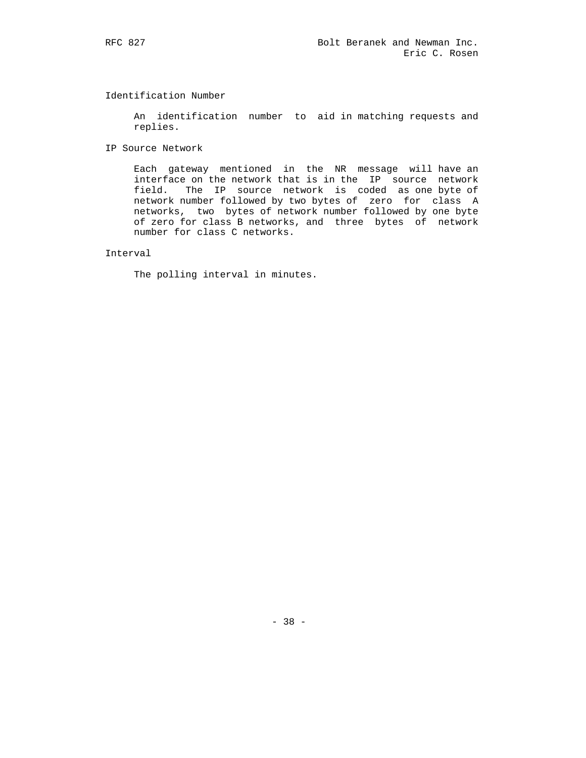# Identification Number

 An identification number to aid in matching requests and replies.

IP Source Network

 Each gateway mentioned in the NR message will have an interface on the network that is in the IP source network field. The IP source network is coded as one byte of network number followed by two bytes of zero for class A networks, two bytes of network number followed by one byte of zero for class B networks, and three bytes of network number for class C networks.

# Interval

The polling interval in minutes.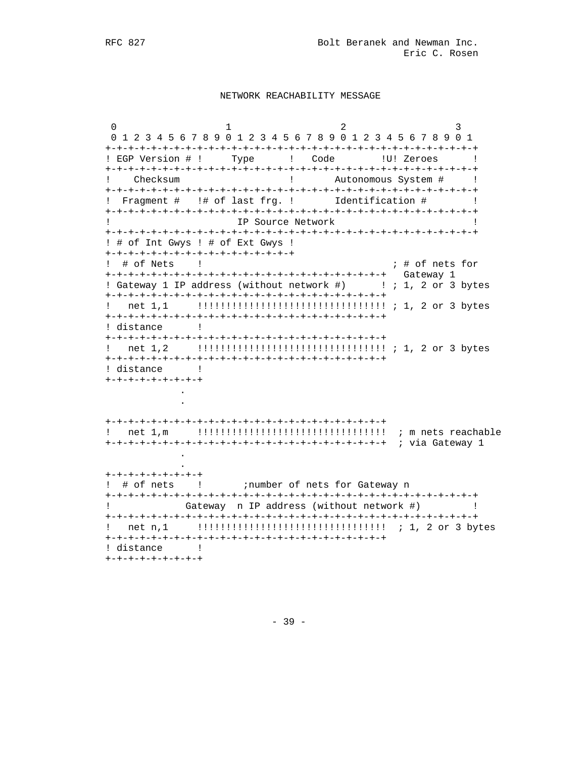#### NETWORK REACHABILITY MESSAGE

 $\Omega$  $\mathbf{1}$  $\overline{2}$  $\mathcal{L}$ 0 1 2 3 4 5 6 7 8 9 0 1 2 3 4 5 6 7 8 9 0 1 2 3 4 5 6 7 8 9 0 1 ! EGP Version # ! Type ! Code ! U! Zeroes ! ! Autonomous System # !  $\mathbf{1}$ Checksum ! Fragment # !# of last frg. ! Identification # ! IP Source Network  $\mathbf{I}$  $\blacksquare$ ! # of Int Gwys ! # of Ext Gwys ! +-+-+-+-+-+-+-+-+-+-+-+-+-+-+-+-+ ; # of nets for ! # of Nets  $\frac{1}{2}$ ! Gateway 1 IP address (without network #) : 1, 2 or 3 bytes ! distance ! ! distance !  $+ - + - + - + - + - + - + - +$  $+ - + - + - + - + - + - + - +$ ! # of nets ! : number of nets for Gateway n Gateway n IP address (without network #) [  $\Gamma$  and  $\Gamma$  and  $\Gamma$  and  $\Gamma$ ! distance !  $+ - + - + - + - + - + - + - +$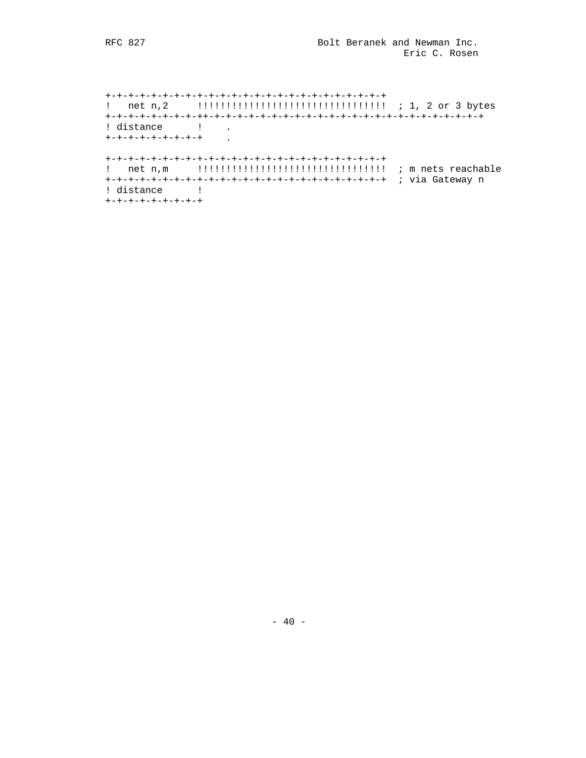! distance !  $\overline{a}$ +-+-+-+-+-+-+-+-+ ! distance !  $+ - + - + - + - + - + - + - +$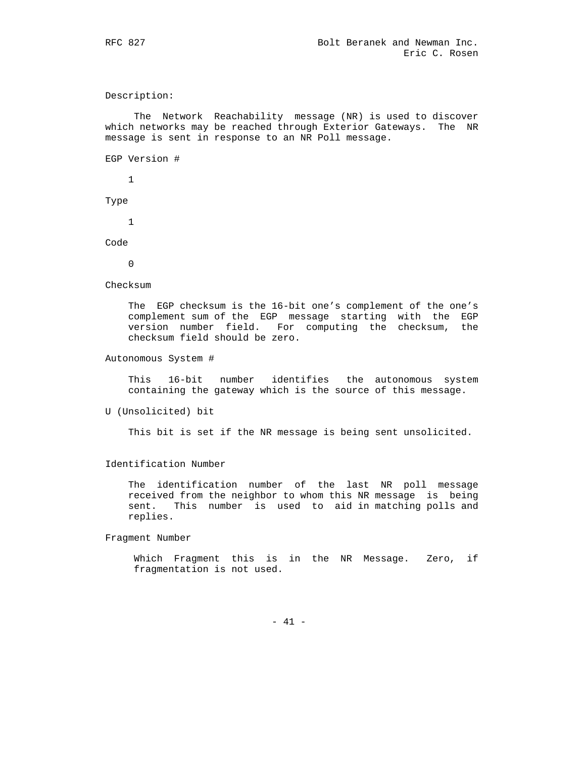Description:

 The Network Reachability message (NR) is used to discover which networks may be reached through Exterior Gateways. The NR message is sent in response to an NR Poll message.

EGP Version #

1

Type

1

Code

 $\Omega$ 

Checksum

 The EGP checksum is the 16-bit one's complement of the one's complement sum of the EGP message starting with the EGP version number field. For computing the checksum, the checksum field should be zero.

Autonomous System #

 This 16-bit number identifies the autonomous system containing the gateway which is the source of this message.

U (Unsolicited) bit

This bit is set if the NR message is being sent unsolicited.

#### Identification Number

 The identification number of the last NR poll message received from the neighbor to whom this NR message is being sent. This number is used to aid in matching polls and replies.

Fragment Number

 Which Fragment this is in the NR Message. Zero, if fragmentation is not used.

- 41 -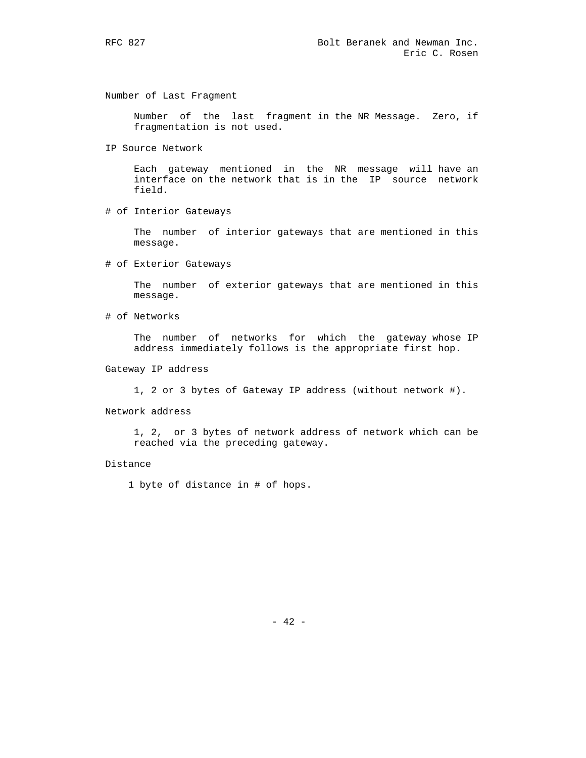Number of Last Fragment

 Number of the last fragment in the NR Message. Zero, if fragmentation is not used.

IP Source Network

 Each gateway mentioned in the NR message will have an interface on the network that is in the IP source network field.

# of Interior Gateways

 The number of interior gateways that are mentioned in this message.

# of Exterior Gateways

 The number of exterior gateways that are mentioned in this message.

# of Networks

 The number of networks for which the gateway whose IP address immediately follows is the appropriate first hop.

- Gateway IP address
	- 1, 2 or 3 bytes of Gateway IP address (without network #).
- Network address

 1, 2, or 3 bytes of network address of network which can be reached via the preceding gateway.

#### Distance

1 byte of distance in # of hops.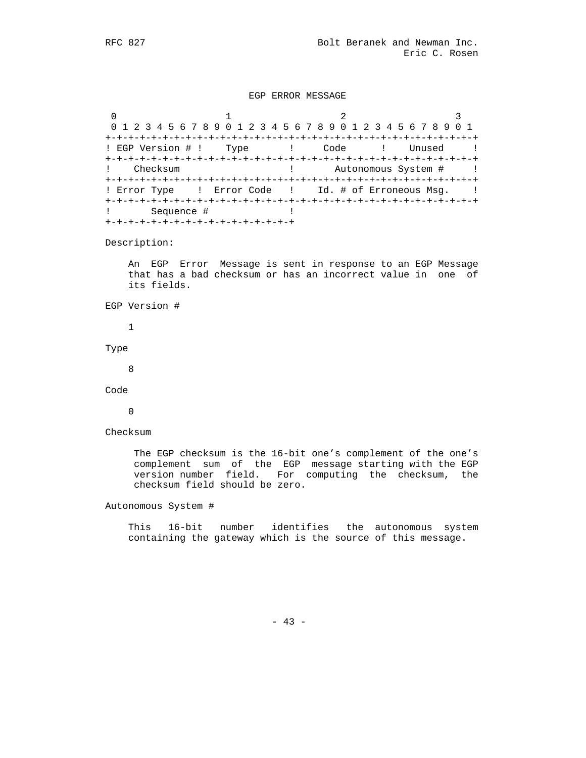### EGP ERROR MESSAGE

0  $1$   $2$   $3$  0 1 2 3 4 5 6 7 8 9 0 1 2 3 4 5 6 7 8 9 0 1 2 3 4 5 6 7 8 9 0 1 +-+-+-+-+-+-+-+-+-+-+-+-+-+-+-+-+-+-+-+-+-+-+-+-+-+-+-+-+-+-+-+-+ ! EGP Version # ! Type ! Code ! Unused ! +-+-+-+-+-+-+-+-+-+-+-+-+-+-+-+-+-+-+-+-+-+-+-+-+-+-+-+-+-+-+-+-+ ! Checksum ! Autonomous System # ! +-+-+-+-+-+-+-+-+-+-+-+-+-+-+-+-+-+-+-+-+-+-+-+-+-+-+-+-+-+-+-+-+ ! Error Type : Error Code : Id. # of Erroneous Msq. : +-+-+-+-+-+-+-+-+-+-+-+-+-+-+-+-+-+-+-+-+-+-+-+-+-+-+-+-+-+-+-+-+ ! Sequence # ! +-+-+-+-+-+-+-+-+-+-+-+-+-+-+-+-+

Description:

 An EGP Error Message is sent in response to an EGP Message that has a bad checksum or has an incorrect value in one of its fields.

```
 EGP Version #
```
1

Type

8

Code

 $\overline{0}$ 

Checksum

 The EGP checksum is the 16-bit one's complement of the one's complement sum of the EGP message starting with the EGP version number field. For computing the checksum, the checksum field should be zero.

Autonomous System #

 This 16-bit number identifies the autonomous system containing the gateway which is the source of this message.

- 43 -